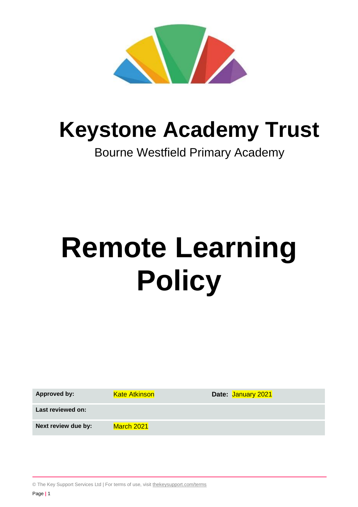

# **Keystone Academy Trust**

## Bourne Westfield Primary Academy

# **Remote Learning Policy**

| <b>Approved by:</b> | <b>Kate Atkinson</b> | Date: January 2021 |
|---------------------|----------------------|--------------------|
| Last reviewed on:   |                      |                    |
| Next review due by: | March 2021           |                    |

© The Key Support Services Ltd | For terms of use, visit [thekeysupport.com/terms](https://thekeysupport.com/terms-of-use)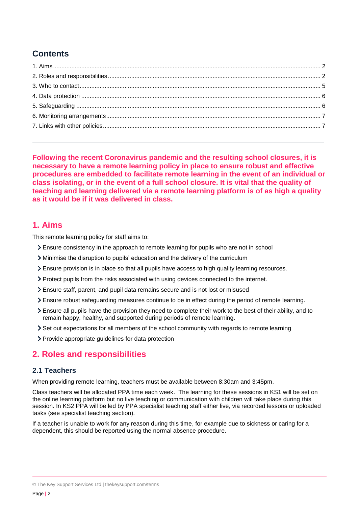### **Contents**

<span id="page-1-0"></span>**Following the recent Coronavirus pandemic and the resulting school closures, it is necessary to have a remote learning policy in place to ensure robust and effective procedures are embedded to facilitate remote learning in the event of an individual or class isolating, or in the event of a full school closure. It is vital that the quality of teaching and learning delivered via a remote learning platform is of as high a quality as it would be if it was delivered in class.**

#### **1. Aims**

This remote learning policy for staff aims to:

- Ensure consistency in the approach to remote learning for pupils who are not in school
- Minimise the disruption to pupils' education and the delivery of the curriculum
- Ensure provision is in place so that all pupils have access to high quality learning resources.
- Protect pupils from the risks associated with using devices connected to the internet.
- Ensure staff, parent, and pupil data remains secure and is not lost or misused
- Ensure robust safeguarding measures continue to be in effect during the period of remote learning.
- Ensure all pupils have the provision they need to complete their work to the best of their ability, and to remain happy, healthy, and supported during periods of remote learning.
- <span id="page-1-1"></span>Set out expectations for all members of the school community with regards to remote learning
- > Provide appropriate guidelines for data protection

#### **2. Roles and responsibilities**

#### **2.1 Teachers**

When providing remote learning, teachers must be available between 8:30am and 3:45pm.

Class teachers will be allocated PPA time each week. The learning for these sessions in KS1 will be set on the online learning platform but no live teaching or communication with children will take place during this session. In KS2 PPA will be led by PPA specialist teaching staff either live, via recorded lessons or uploaded tasks (see specialist teaching section).

If a teacher is unable to work for any reason during this time, for example due to sickness or caring for a dependent, this should be reported using the normal absence procedure.

<sup>©</sup> The Key Support Services Ltd | [thekeysupport.com/terms](https://thekeysupport.com/terms-of-use)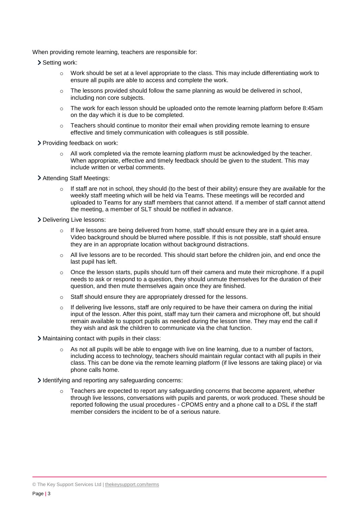When providing remote learning, teachers are responsible for:

- > Setting work:
	- o Work should be set at a level appropriate to the class. This may include differentiating work to ensure all pupils are able to access and complete the work.
	- $\circ$  The lessons provided should follow the same planning as would be delivered in school, including non core subjects.
	- $\circ$  The work for each lesson should be uploaded onto the remote learning platform before 8:45am on the day which it is due to be completed.
	- $\circ$  Teachers should continue to monitor their email when providing remote learning to ensure effective and timely communication with colleagues is still possible.
- > Providing feedback on work:
	- All work completed via the remote learning platform must be acknowledged by the teacher. When appropriate, effective and timely feedback should be given to the student. This may include written or verbal comments.
- Attending Staff Meetings:
	- $\circ$  If staff are not in school, they should (to the best of their ability) ensure they are available for the weekly staff meeting which will be held via Teams. These meetings will be recorded and uploaded to Teams for any staff members that cannot attend. If a member of staff cannot attend the meeting, a member of SLT should be notified in advance.
- > Delivering Live lessons:
	- $\circ$  If live lessons are being delivered from home, staff should ensure they are in a quiet area. Video background should be blurred where possible. If this is not possible, staff should ensure they are in an appropriate location without background distractions.
	- $\circ$  All live lessons are to be recorded. This should start before the children join, and end once the last pupil has left.
	- $\circ$  Once the lesson starts, pupils should turn off their camera and mute their microphone. If a pupil needs to ask or respond to a question, they should unmute themselves for the duration of their question, and then mute themselves again once they are finished.
	- o Staff should ensure they are appropriately dressed for the lessons.
	- If delivering live lessons, staff are only required to be have their camera on during the initial input of the lesson. After this point, staff may turn their camera and microphone off, but should remain available to support pupils as needed during the lesson time. They may end the call if they wish and ask the children to communicate via the chat function.

Maintaining contact with pupils in their class:

- As not all pupils will be able to engage with live on line learning, due to a number of factors, including access to technology, teachers should maintain regular contact with all pupils in their class. This can be done via the remote learning platform (if live lessons are taking place) or via phone calls home.
- Identifying and reporting any safeguarding concerns:
	- $\circ$  Teachers are expected to report any safeguarding concerns that become apparent, whether through live lessons, conversations with pupils and parents, or work produced. These should be reported following the usual procedures - CPOMS entry and a phone call to a DSL if the staff member considers the incident to be of a serious nature.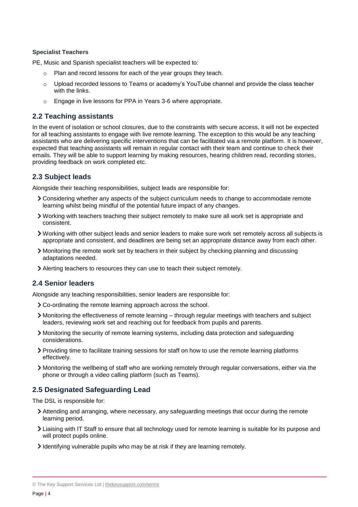#### **Specialist Teachers**

PE, Music and Spanish specialist teachers will be expected to:

- o Plan and record lessons for each of the year groups they teach.
- o Upload recorded lessons to Teams or academy's YouTube channel and provide the class teacher with the links.
- o Engage in live lessons for PPA in Years 3-6 where appropriate.

#### **2.2 Teaching assistants**

In the event of isolation or school closures, due to the constraints with secure access, it will not be expected for all teaching assistants to engage with live remote learning. The exception to this would be any teaching assistants who are delivering specific interventions that can be facilitated via a remote platform. It is however, expected that teaching assistants will remain in regular contact with their team and continue to check their emails. They will be able to support learning by making resources, hearing children read, recording stories, providing feedback on work completed etc.

#### **2.3 Subject leads**

Alongside their teaching responsibilities, subject leads are responsible for:

- Considering whether any aspects of the subject curriculum needs to change to accommodate remote learning whilst being mindful of the potential future impact of any changes.
- Working with teachers teaching their subject remotely to make sure all work set is appropriate and consistent.
- Working with other subject leads and senior leaders to make sure work set remotely across all subjects is appropriate and consistent, and deadlines are being set an appropriate distance away from each other.
- Monitoring the remote work set by teachers in their subject by checking planning and discussing adaptations needed.
- Alerting teachers to resources they can use to teach their subject remotely.

#### **2.4 Senior leaders**

Alongside any teaching responsibilities, senior leaders are responsible for:

- Co-ordinating the remote learning approach across the school.
- Monitoring the effectiveness of remote learning through regular meetings with teachers and subject leaders, reviewing work set and reaching out for feedback from pupils and parents.
- Monitoring the security of remote learning systems, including data protection and safeguarding considerations.
- Providing time to facilitate training sessions for staff on how to use the remote learning platforms effectively.
- Monitoring the wellbeing of staff who are working remotely through regular conversations, either via the phone or through a video calling platform (such as Teams).

#### **2.5 Designated Safeguarding Lead**

The DSL is responsible for:

- Attending and arranging, where necessary, any safeguarding meetings that occur during the remote learning period.
- Liaising with IT Staff to ensure that all technology used for remote learning is suitable for its purpose and will protect pupils online.
- Identifying vulnerable pupils who may be at risk if they are learning remotely.

<sup>©</sup> The Key Support Services Ltd | [thekeysupport.com/terms](https://thekeysupport.com/terms-of-use)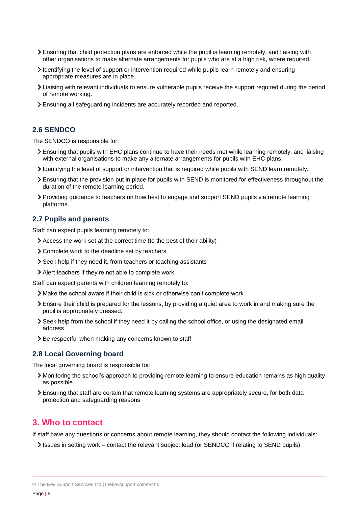- Ensuring that child protection plans are enforced while the pupil is learning remotely, and liaising with other organisations to make alternate arrangements for pupils who are at a high risk, where required.
- Identifying the level of support or intervention required while pupils learn remotely and ensuring appropriate measures are in place.
- Liaising with relevant individuals to ensure vulnerable pupils receive the support required during the period of remote working.
- Ensuring all safeguarding incidents are accurately recorded and reported.

#### **2.6 SENDCO**

The SENDCO is responsible for:

- Ensuring that pupils with EHC plans continue to have their needs met while learning remotely, and liaising with external organisations to make any alternate arrangements for pupils with EHC plans.
- Identifying the level of support or intervention that is required while pupils with SEND learn remotely.
- Ensuring that the provision put in place for pupils with SEND is monitored for effectiveness throughout the duration of the remote learning period.
- Providing guidance to teachers on how best to engage and support SEND pupils via remote learning platforms.

#### **2.7 Pupils and parents**

Staff can expect pupils learning remotely to:

- Access the work set at the correct time (to the best of their ability)
- Complete work to the deadline set by teachers
- Seek help if they need it, from teachers or teaching assistants
- Alert teachers if they're not able to complete work

Staff can expect parents with children learning remotely to:

- Make the school aware if their child is sick or otherwise can't complete work
- Ensure their child is prepared for the lessons, by providing a quiet area to work in and making sure the pupil is appropriately dressed.
- Seek help from the school if they need it by calling the school office, or using the designated email address.
- > Be respectful when making any concerns known to staff

#### **2.8 Local Governing board**

The local governing board is responsible for:

- Monitoring the school's approach to providing remote learning to ensure education remains as high quality as possible
- Ensuring that staff are certain that remote learning systems are appropriately secure, for both data protection and safeguarding reasons

#### <span id="page-4-0"></span>**3. Who to contact**

If staff have any questions or concerns about remote learning, they should contact the following individuals:

Issues in setting work – contact the relevant subject lead (or SENDCO if relating to SEND pupils)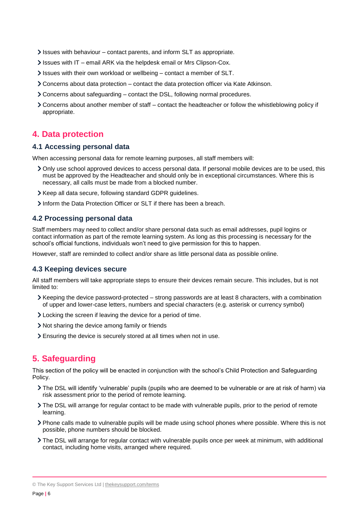- Issues with behaviour contact parents, and inform SLT as appropriate.
- Issues with IT email ARK via the helpdesk email or Mrs Clipson-Cox.
- Issues with their own workload or wellbeing contact a member of SLT.
- $\geq$  Concerns about data protection contact the data protection officer via Kate Atkinson.
- Concerns about safeguarding contact the DSL, following normal procedures.
- Concerns about another member of staff contact the headteacher or follow the whistleblowing policy if appropriate.

#### <span id="page-5-0"></span>**4. Data protection**

#### **4.1 Accessing personal data**

When accessing personal data for remote learning purposes, all staff members will:

- Only use school approved devices to access personal data. If personal mobile devices are to be used, this must be approved by the Headteacher and should only be in exceptional circumstances. Where this is necessary, all calls must be made from a blocked number.
- Xeep all data secure, following standard GDPR guidelines.
- Inform the Data Protection Officer or SLT if there has been a breach.

#### **4.2 Processing personal data**

Staff members may need to collect and/or share personal data such as email addresses, pupil logins or contact information as part of the remote learning system. As long as this processing is necessary for the school's official functions, individuals won't need to give permission for this to happen.

However, staff are reminded to collect and/or share as little personal data as possible online.

#### **4.3 Keeping devices secure**

All staff members will take appropriate steps to ensure their devices remain secure. This includes, but is not limited to:

- $\blacktriangleright$  Keeping the device password-protected strong passwords are at least 8 characters, with a combination of upper and lower-case letters, numbers and special characters (e.g. asterisk or currency symbol)
- Locking the screen if leaving the device for a period of time.
- Not sharing the device among family or friends
- Ensuring the device is securely stored at all times when not in use.

#### <span id="page-5-1"></span>**5. Safeguarding**

This section of the policy will be enacted in conjunction with the school's Child Protection and Safeguarding Policy.

- The DSL will identify 'vulnerable' pupils (pupils who are deemed to be vulnerable or are at risk of harm) via risk assessment prior to the period of remote learning.
- The DSL will arrange for regular contact to be made with vulnerable pupils, prior to the period of remote learning.
- Phone calls made to vulnerable pupils will be made using school phones where possible. Where this is not possible, phone numbers should be blocked.
- The DSL will arrange for regular contact with vulnerable pupils once per week at minimum, with additional contact, including home visits, arranged where required.

© The Key Support Services Ltd | [thekeysupport.com/terms](https://thekeysupport.com/terms-of-use)